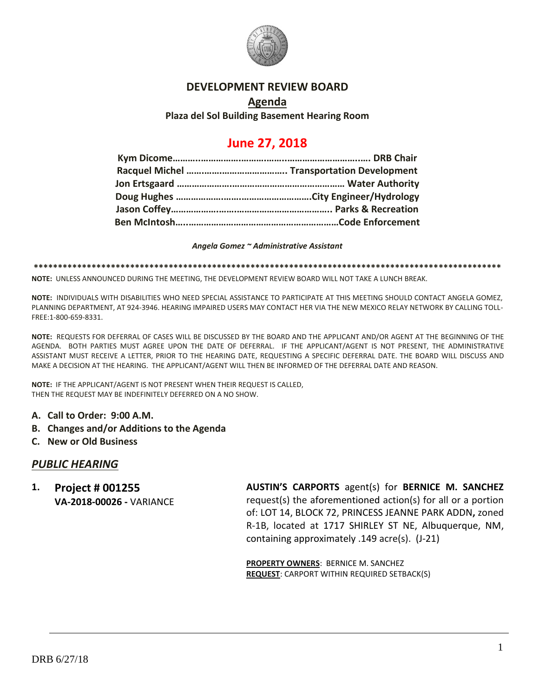

### **DEVELOPMENT REVIEW BOARD**

### **Agenda Plaza del Sol Building Basement Hearing Room**

## **June 27, 2018**

#### *Angela Gomez ~ Administrative Assistant*

**\*\*\*\*\*\*\*\*\*\*\*\*\*\*\*\*\*\*\*\*\*\*\*\*\*\*\*\*\*\*\*\*\*\*\*\*\*\*\*\*\*\*\*\*\*\*\*\*\*\*\*\*\*\*\*\*\*\*\*\*\*\*\*\*\*\*\*\*\*\*\*\*\*\*\*\*\*\*\*\*\*\*\*\*\*\*\*\*\*\*\*\*\*\*\*\*\***

**NOTE:** UNLESS ANNOUNCED DURING THE MEETING, THE DEVELOPMENT REVIEW BOARD WILL NOT TAKE A LUNCH BREAK.

**NOTE:** INDIVIDUALS WITH DISABILITIES WHO NEED SPECIAL ASSISTANCE TO PARTICIPATE AT THIS MEETING SHOULD CONTACT ANGELA GOMEZ, PLANNING DEPARTMENT, AT 924-3946. HEARING IMPAIRED USERS MAY CONTACT HER VIA THE NEW MEXICO RELAY NETWORK BY CALLING TOLL-FREE:1-800-659-8331.

**NOTE:** REQUESTS FOR DEFERRAL OF CASES WILL BE DISCUSSED BY THE BOARD AND THE APPLICANT AND/OR AGENT AT THE BEGINNING OF THE AGENDA. BOTH PARTIES MUST AGREE UPON THE DATE OF DEFERRAL. IF THE APPLICANT/AGENT IS NOT PRESENT, THE ADMINISTRATIVE ASSISTANT MUST RECEIVE A LETTER, PRIOR TO THE HEARING DATE, REQUESTING A SPECIFIC DEFERRAL DATE. THE BOARD WILL DISCUSS AND MAKE A DECISION AT THE HEARING. THE APPLICANT/AGENT WILL THEN BE INFORMED OF THE DEFERRAL DATE AND REASON.

**NOTE:** IF THE APPLICANT/AGENT IS NOT PRESENT WHEN THEIR REQUEST IS CALLED, THEN THE REQUEST MAY BE INDEFINITELY DEFERRED ON A NO SHOW.

- **A. Call to Order: 9:00 A.M.**
- **B. Changes and/or Additions to the Agenda**
- **C. New or Old Business**

#### *PUBLIC HEARING*

**1. Project # 001255 VA-2018-00026 -** VARIANCE **AUSTIN'S CARPORTS** agent(s) for **BERNICE M. SANCHEZ** request(s) the aforementioned action(s) for all or a portion of: LOT 14, BLOCK 72, PRINCESS JEANNE PARK ADDN**,** zoned R-1B, located at 1717 SHIRLEY ST NE, Albuquerque, NM, containing approximately .149 acre(s). (J-21)

**PROPERTY OWNERS**: BERNICE M. SANCHEZ **REQUEST**: CARPORT WITHIN REQUIRED SETBACK(S)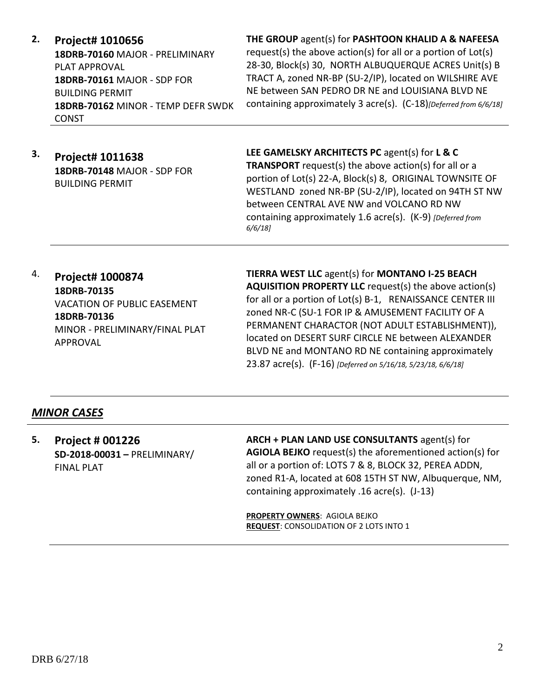**2. Project# 1010656**

**18DRB-70160** MAJOR - PRELIMINARY PLAT APPROVAL **18DRB-70161** MAJOR - SDP FOR BUILDING PERMIT **18DRB-70162** MINOR - TEMP DEFR SWDK **CONST** 

**THE GROUP** agent(s) for **PASHTOON KHALID A & NAFEESA**

request(s) the above action(s) for all or a portion of Lot(s) 28-30, Block(s) 30, NORTH ALBUQUERQUE ACRES Unit(s) B TRACT A, zoned NR-BP (SU-2/IP), located on WILSHIRE AVE NE between SAN PEDRO DR NE and LOUISIANA BLVD NE containing approximately 3 acre(s). (C-18)*[Deferred from 6/6/18]*

**3. Project# 1011638 18DRB-70148** MAJOR - SDP FOR BUILDING PERMIT

**LEE GAMELSKY ARCHITECTS PC** agent(s) for **L & C TRANSPORT** request(s) the above action(s) for all or a portion of Lot(s) 22-A, Block(s) 8, ORIGINAL TOWNSITE OF WESTLAND zoned NR-BP (SU-2/IP), located on 94TH ST NW between CENTRAL AVE NW and VOLCANO RD NW containing approximately 1.6 acre(s). (K-9) *[Deferred from 6/6/18]*

4. **Project# 1000874 18DRB-70135** VACATION OF PUBLIC EASEMENT **18DRB-70136** MINOR - PRELIMINARY/FINAL PLAT APPROVAL

**TIERRA WEST LLC** agent(s) for **MONTANO I-25 BEACH AQUISITION PROPERTY LLC** request(s) the above action(s) for all or a portion of Lot(s) B-1, RENAISSANCE CENTER III zoned NR-C (SU-1 FOR IP & AMUSEMENT FACILITY OF A PERMANENT CHARACTOR (NOT ADULT ESTABLISHMENT)), located on DESERT SURF CIRCLE NE between ALEXANDER BLVD NE and MONTANO RD NE containing approximately 23.87 acre(s). (F-16) *[Deferred on 5/16/18, 5/23/18, 6/6/18]*

## *MINOR CASES*

**5. Project # 001226 SD-2018-00031 –** PRELIMINARY/ FINAL PLAT

**ARCH + PLAN LAND USE CONSULTANTS** agent(s) for **AGIOLA BEJKO** request(s) the aforementioned action(s) for all or a portion of: LOTS 7 & 8, BLOCK 32, PEREA ADDN, zoned R1-A, located at 608 15TH ST NW, Albuquerque, NM, containing approximately .16 acre(s). (J-13)

**PROPERTY OWNERS**: AGIOLA BEJKO **REQUEST**: CONSOLIDATION OF 2 LOTS INTO 1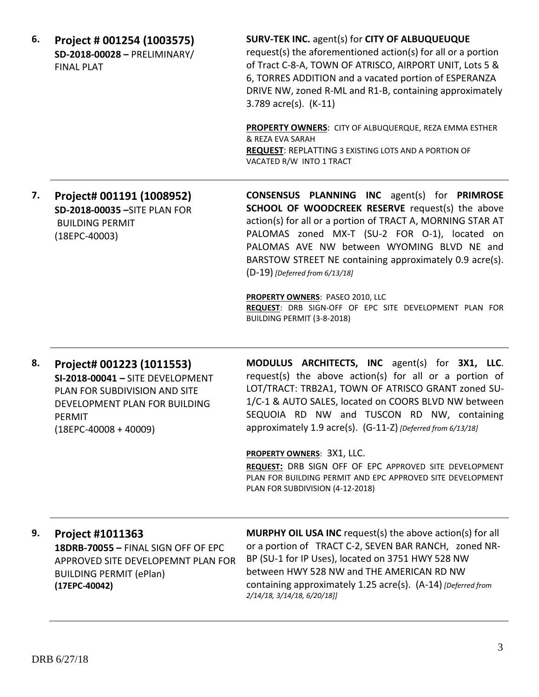**6. Project # 001254 (1003575) SD-2018-00028 –** PRELIMINARY/ FINAL PLAT

#### **SURV-TEK INC.** agent(s) for **CITY OF ALBUQUEUQUE**

request(s) the aforementioned action(s) for all or a portion of Tract C-8-A, TOWN OF ATRISCO, AIRPORT UNIT, Lots 5 & 6, TORRES ADDITION and a vacated portion of ESPERANZA DRIVE NW, zoned R-ML and R1-B, containing approximately 3.789 acre(s). (K-11)

**PROPERTY OWNERS**: CITY OF ALBUQUERQUE, REZA EMMA ESTHER & REZA EVA SARAH **REQUEST**: REPLATTING 3 EXISTING LOTS AND A PORTION OF VACATED R/W INTO 1 TRACT

**7. Project# 001191 (1008952) SD-2018-00035 –**SITE PLAN FOR BUILDING PERMIT (18EPC-40003)

**CONSENSUS PLANNING INC** agent(s) for **PRIMROSE SCHOOL OF WOODCREEK RESERVE** request(s) the above action(s) for all or a portion of TRACT A, MORNING STAR AT PALOMAS zoned MX-T (SU-2 FOR O-1), located on PALOMAS AVE NW between WYOMING BLVD NE and BARSTOW STREET NE containing approximately 0.9 acre(s). (D-19) *[Deferred from 6/13/18]*

**PROPERTY OWNERS**: PASEO 2010, LLC **REQUEST**: DRB SIGN-OFF OF EPC SITE DEVELOPMENT PLAN FOR BUILDING PERMIT (3-8-2018)

**8. Project# 001223 (1011553) SI-2018-00041 –** SITE DEVELOPMENT PLAN FOR SUBDIVISION AND SITE DEVELOPMENT PLAN FOR BUILDING PERMIT (18EPC-40008 + 40009)

**MODULUS ARCHITECTS, INC** agent(s) for **3X1, LLC**. request(s) the above action(s) for all or a portion of LOT/TRACT: TRB2A1, TOWN OF ATRISCO GRANT zoned SU-1/C-1 & AUTO SALES, located on COORS BLVD NW between SEQUOIA RD NW and TUSCON RD NW, containing approximately 1.9 acre(s). (G-11-Z) *[Deferred from 6/13/18]*

**PROPERTY OWNERS**: 3X1, LLC.

**REQUEST:** DRB SIGN OFF OF EPC APPROVED SITE DEVELOPMENT PLAN FOR BUILDING PERMIT AND EPC APPROVED SITE DEVELOPMENT PLAN FOR SUBDIVISION (4-12-2018)

# **9. Project #1011363 18DRB-70055 –** FINAL SIGN OFF OF EPC

APPROVED SITE DEVELOPEMNT PLAN FOR BUILDING PERMIT (ePlan) **(17EPC-40042)**

**MURPHY OIL USA INC** request(s) the above action(s) for all or a portion of TRACT C-2, SEVEN BAR RANCH, zoned NR-BP (SU-1 for IP Uses), located on 3751 HWY 528 NW between HWY 528 NW and THE AMERICAN RD NW containing approximately 1.25 acre(s). (A-14) *[Deferred from 2/14/18, 3/14/18, 6/20/18]]*